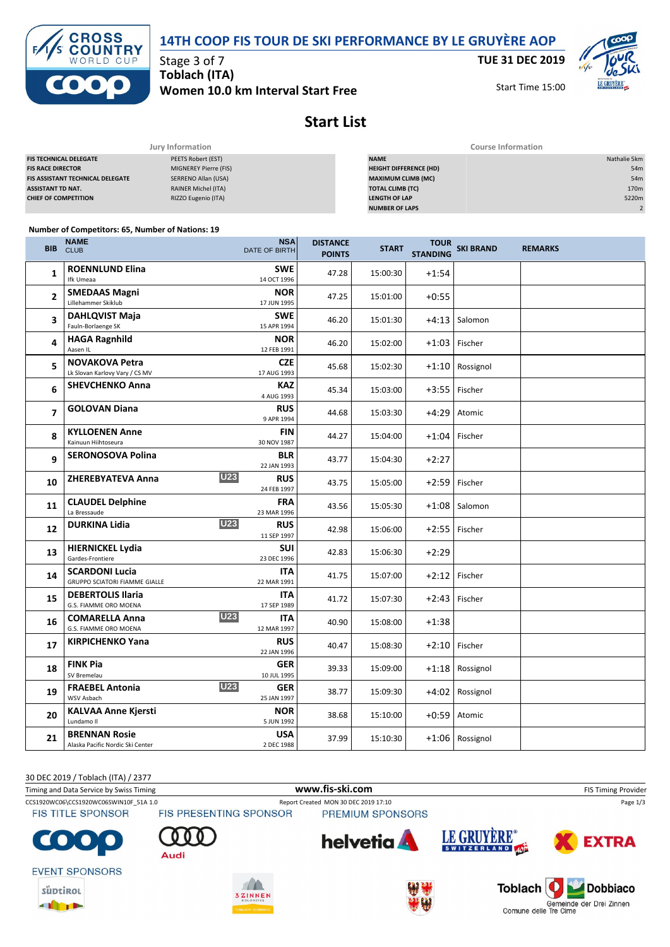



Stage 3 of 7 **Toblach (ITA) Women 10.0 km Interval Start Free** **TUE 31 DEC 2019**

Start Time 15:00



# **Start List**

|                                         | Jury Information           | <b>Course Information</b>     |                  |  |  |
|-----------------------------------------|----------------------------|-------------------------------|------------------|--|--|
| <b>FIS TECHNICAL DELEGATE</b>           | PEETS Robert (EST)         | <b>NAME</b>                   | Nathalie 5km     |  |  |
| <b>FIS RACE DIRECTOR</b>                | MIGNEREY Pierre (FIS)      | <b>HEIGHT DIFFERENCE (HD)</b> | 54m              |  |  |
| <b>FIS ASSISTANT TECHNICAL DELEGATE</b> | SERRENO Allan (USA)        | <b>MAXIMUM CLIMB (MC)</b>     | 54m              |  |  |
| <b>ASSISTANT TD NAT.</b>                | <b>RAINER Michel (ITA)</b> | <b>TOTAL CLIMB (TC)</b>       | 170 <sub>m</sub> |  |  |
| <b>CHIEF OF COMPETITION</b>             | RIZZO Eugenio (ITA)        | <b>LENGTH OF LAP</b>          | 5220m            |  |  |
|                                         |                            | <b>NUMBER OF LAPS</b>         |                  |  |  |

#### **Number of Competitors: 65, Number of Nations: 19**

| <b>BIB</b>     | <b>NAME</b><br><b>CLUB</b>                                    | <b>NSA</b><br>DATE OF BIRTH             | <b>DISTANCE</b><br><b>POINTS</b> | <b>START</b> | <b>STANDING</b> | TOUR<br>SKI BRAND | <b>REMARKS</b> |
|----------------|---------------------------------------------------------------|-----------------------------------------|----------------------------------|--------------|-----------------|-------------------|----------------|
| $\mathbf{1}$   | <b>ROENNLUND Elina</b><br>Ifk Umeaa                           | <b>SWE</b><br>14 OCT 1996               | 47.28                            | 15:00:30     | $+1:54$         |                   |                |
| $\overline{2}$ | <b>SMEDAAS Magni</b><br>Lillehammer Skiklub                   | <b>NOR</b><br>17 JUN 1995               | 47.25                            | 15:01:00     | $+0:55$         |                   |                |
| 3              | <b>DAHLQVIST Maja</b><br>Fauln-Borlaenge SK                   | <b>SWE</b><br>15 APR 1994               | 46.20                            | 15:01:30     | $+4:13$         | Salomon           |                |
| 4              | <b>HAGA Ragnhild</b><br>Aasen IL                              | <b>NOR</b><br>12 FEB 1991               | 46.20                            | 15:02:00     | $+1:03$         | Fischer           |                |
| 5              | <b>NOVAKOVA Petra</b><br>Lk Slovan Karlovy Vary / CS MV       | <b>CZE</b><br>17 AUG 1993               | 45.68                            | 15:02:30     | $+1:10$         | Rossignol         |                |
| 6              | <b>SHEVCHENKO Anna</b>                                        | <b>KAZ</b><br>4 AUG 1993                | 45.34                            | 15:03:00     | $+3:55$         | Fischer           |                |
| $\overline{ }$ | <b>GOLOVAN Diana</b>                                          | <b>RUS</b><br>9 APR 1994                | 44.68                            | 15:03:30     | $+4:29$         | Atomic            |                |
| 8              | <b>KYLLOENEN Anne</b><br>Kainuun Hiihtoseura                  | <b>FIN</b><br>30 NOV 1987               | 44.27                            | 15:04:00     | $+1:04$         | Fischer           |                |
| 9              | <b>SERONOSOVA Polina</b>                                      | <b>BLR</b><br>22 JAN 1993               | 43.77                            | 15:04:30     | $+2:27$         |                   |                |
| 10             | <b>ZHEREBYATEVA Anna</b>                                      | <b>U23</b><br><b>RUS</b><br>24 FEB 1997 | 43.75                            | 15:05:00     | $+2:59$         | Fischer           |                |
| 11             | <b>CLAUDEL Delphine</b><br>La Bressaude                       | <b>FRA</b><br>23 MAR 1996               | 43.56                            | 15:05:30     | $+1:08$         | Salomon           |                |
| 12             | <b>DURKINA Lidia</b>                                          | <b>U23</b><br><b>RUS</b><br>11 SEP 1997 | 42.98                            | 15:06:00     | $+2:55$         | Fischer           |                |
| 13             | <b>HIERNICKEL Lydia</b><br>Gardes-Frontiere                   | <b>SUI</b><br>23 DEC 1996               | 42.83                            | 15:06:30     | $+2:29$         |                   |                |
| 14             | <b>SCARDONI Lucia</b><br><b>GRUPPO SCIATORI FIAMME GIALLE</b> | <b>ITA</b><br>22 MAR 1991               | 41.75                            | 15:07:00     | $+2:12$         | Fischer           |                |
| 15             | <b>DEBERTOLIS Ilaria</b><br>G.S. FIAMME ORO MOENA             | ITA<br>17 SEP 1989                      | 41.72                            | 15:07:30     | $+2:43$         | Fischer           |                |
| 16             | <b>COMARELLA Anna</b><br>G.S. FIAMME ORO MOENA                | <b>U23</b><br><b>ITA</b><br>12 MAR 1997 | 40.90                            | 15:08:00     | $+1:38$         |                   |                |
| 17             | <b>KIRPICHENKO Yana</b>                                       | <b>RUS</b><br>22 JAN 1996               | 40.47                            | 15:08:30     | $+2:10$         | Fischer           |                |
| 18             | <b>FINK Pia</b><br>SV Bremelau                                | <b>GER</b><br>10 JUL 1995               | 39.33                            | 15:09:00     | $+1:18$         | Rossignol         |                |
| 19             | <b>FRAEBEL Antonia</b><br>WSV Asbach                          | <b>U23</b><br><b>GER</b><br>25 JAN 1997 | 38.77                            | 15:09:30     | +4:02           | Rossignol         |                |
| 20             | <b>KALVAA Anne Kjersti</b><br>Lundamo II                      | <b>NOR</b><br>5 JUN 1992                | 38.68                            | 15:10:00     | $+0:59$         | Atomic            |                |
| 21             | <b>BRENNAN Rosie</b><br>Alaska Pacific Nordic Ski Center      | <b>USA</b><br>2 DEC 1988                | 37.99                            | 15:10:30     |                 | +1:06 Rossignol   |                |

30 DEC 2019 / Toblach (ITA) / 2377 Timing and Data Service by Swiss Timing **WWW.fis-Ski.com www.fis-ski.com** FIS Timing Provider CCS1920WC06\CCS1920WC06SWIN10F\_51A 1.0 Report Created MON 30 DEC 2019 17:10 Report Created MON 30 DEC 2019 17:10 Page 1/3<br>FIS TITLE SPONSOR FIS PRESENTING SPONSOR PREMIUM SPONSORS **FIS TITLE SPONSOR** LE GRUYÈRE® **helvetia EXTRA** Audi **EVENT SPONSORS** süptikol



**THEFT** 



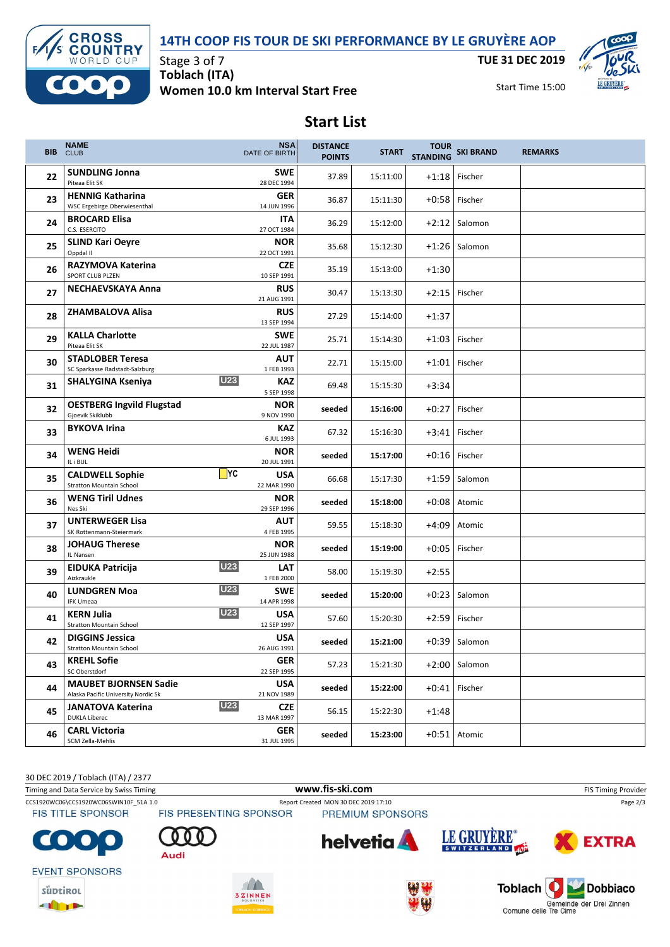## **14TH COOP FIS TOUR DE SKI PERFORMANCE BY LE GRUYÈRE AOP**



**THEFT** 

Stage 3 of 7 **Toblach (ITA) Women 10.0 km Interval Start Free** **TUE 31 DEC 2019**

Start Time 15:00



## **Start List**

| BIB. | <b>NAME</b><br><b>CLUB</b>                                          |            | <b>NSA</b><br><b>DATE OF BIRTH</b> | <b>DISTANCE</b><br><b>POINTS</b> | <b>START</b> | <b>STANDING</b> | TOUR<br>SKI BRAND | <b>REMARKS</b> |
|------|---------------------------------------------------------------------|------------|------------------------------------|----------------------------------|--------------|-----------------|-------------------|----------------|
| 22   | <b>SUNDLING Jonna</b><br>Piteaa Elit SK                             |            | <b>SWE</b><br>28 DEC 1994          | 37.89                            | 15:11:00     | $+1:18$         | Fischer           |                |
| 23   | <b>HENNIG Katharina</b><br>WSC Ergebirge Oberwiesenthal             |            | <b>GER</b><br>14 JUN 1996          | 36.87                            | 15:11:30     | $+0:58$         | Fischer           |                |
| 24   | <b>BROCARD Elisa</b><br>C.S. ESERCITO                               |            | ITA<br>27 OCT 1984                 | 36.29                            | 15:12:00     | $+2:12$         | Salomon           |                |
| 25   | <b>SLIND Kari Oeyre</b><br>Oppdal II                                |            | <b>NOR</b><br>22 OCT 1991          | 35.68                            | 15:12:30     | $+1:26$         | Salomon           |                |
| 26   | RAZYMOVA Katerina<br>SPORT CLUB PLZEN                               |            | <b>CZE</b><br>10 SEP 1991          | 35.19                            | 15:13:00     | $+1:30$         |                   |                |
| 27   | <b>NECHAEVSKAYA Anna</b>                                            |            | <b>RUS</b><br>21 AUG 1991          | 30.47                            | 15:13:30     | $+2:15$         | Fischer           |                |
| 28   | <b>ZHAMBALOVA Alisa</b>                                             |            | <b>RUS</b><br>13 SEP 1994          | 27.29                            | 15:14:00     | $+1:37$         |                   |                |
| 29   | <b>KALLA Charlotte</b><br>Piteaa Elit SK                            |            | <b>SWE</b><br>22 JUL 1987          | 25.71                            | 15:14:30     | $+1:03$         | Fischer           |                |
| 30   | <b>STADLOBER Teresa</b><br>SC Sparkasse Radstadt-Salzburg           |            | <b>AUT</b><br>1 FEB 1993           | 22.71                            | 15:15:00     | $+1:01$         | Fischer           |                |
| 31   | <b>SHALYGINA Kseniya</b>                                            | <b>U23</b> | KAZ<br>5 SEP 1998                  | 69.48                            | 15:15:30     | $+3:34$         |                   |                |
| 32   | <b>OESTBERG Ingvild Flugstad</b><br>Gjoevik Skiklubb                |            | <b>NOR</b><br>9 NOV 1990           | seeded                           | 15:16:00     | $+0:27$         | Fischer           |                |
| 33   | <b>BYKOVA Irina</b>                                                 |            | KAZ<br>6 JUL 1993                  | 67.32                            | 15:16:30     | $+3:41$         | Fischer           |                |
| 34   | <b>WENG Heidi</b><br>IL i BUL                                       |            | <b>NOR</b><br>20 JUL 1991          | seeded                           | 15:17:00     |                 | $+0:16$ Fischer   |                |
| 35   | <b>CALDWELL Sophie</b><br><b>Stratton Mountain School</b>           | $\Box$ YC  | <b>USA</b><br>22 MAR 1990          | 66.68                            | 15:17:30     | $+1:59$         | Salomon           |                |
| 36   | <b>WENG Tiril Udnes</b><br>Nes Ski                                  |            | <b>NOR</b><br>29 SEP 1996          | seeded                           | 15:18:00     | $+0:08$         | Atomic            |                |
| 37   | <b>UNTERWEGER Lisa</b><br>SK Rottenmann-Steiermark                  |            | <b>AUT</b><br>4 FEB 1995           | 59.55                            | 15:18:30     | +4:09           | Atomic            |                |
| 38   | <b>JOHAUG Therese</b><br>IL Nansen                                  |            | <b>NOR</b><br>25 JUN 1988          | seeded                           | 15:19:00     | $+0:05$         | Fischer           |                |
| 39   | <b>EIDUKA Patricija</b><br>Aizkraukle                               | <b>U23</b> | <b>LAT</b><br>1 FEB 2000           | 58.00                            | 15:19:30     | $+2:55$         |                   |                |
| 40   | <b>LUNDGREN Moa</b><br><b>IFK Umeaa</b>                             | <b>U23</b> | <b>SWE</b><br>14 APR 1998          | seeded                           | 15:20:00     | $+0:23$         | Salomon           |                |
| 41   | <b>KERN Julia</b><br><b>Stratton Mountain School</b>                | <b>U23</b> | <b>USA</b><br>12 SEP 1997          | 57.60                            | 15:20:30     |                 | $+2:59$ Fischer   |                |
| 42   | <b>DIGGINS Jessica</b><br>Stratton Mountain School                  |            | <b>USA</b><br>26 AUG 1991          | seeded                           | 15:21:00     |                 | $+0:39$ Salomon   |                |
| 43   | <b>KREHL Sofie</b><br>SC Oberstdorf                                 |            | <b>GER</b><br>22 SEP 1995          | 57.23                            | 15:21:30     |                 | $+2:00$ Salomon   |                |
| 44   | <b>MAUBET BJORNSEN Sadie</b><br>Alaska Pacific University Nordic Sk |            | <b>USA</b><br>21 NOV 1989          | seeded                           | 15:22:00     |                 | +0:41 Fischer     |                |
| 45   | JANATOVA Katerina<br><b>DUKLA Liberec</b>                           | <b>U23</b> | <b>CZE</b><br>13 MAR 1997          | 56.15                            | 15:22:30     | $+1:48$         |                   |                |
| 46   | <b>CARL Victoria</b><br>SCM Zella-Mehlis                            |            | <b>GER</b><br>31 JUL 1995          | seeded                           | 15:23:00     |                 | $+0.51$ Atomic    |                |

30 DEC 2019 / Toblach (ITA) / 2377 Timing and Data Service by Swiss Timing **WWW.fis-Ski.com WWW.fis-Ski.com** FIS Timing Provider CCS1920WC06\CCS1920WC06SWIN10F\_51A 1.0 Report Created MON 30 DEC 2019 17:10 Report Created MON 30 DEC 2019 17:10 Page 2/3<br>FIS TITLE SPONSOR FIS PRESENTING SPONSOR PREMIUM SPONSORS PREMIUM SPONSORS LE GRUYÈRE® helvetia **EXTRA**  $\bullet$ Audi **EVENT SPONSORS** Dobbiaco  $\sqrt{2}$ Toblach süptikol ZINNEN Gemeinde der Drei Zinnen<br>Comune delle Tre Cime